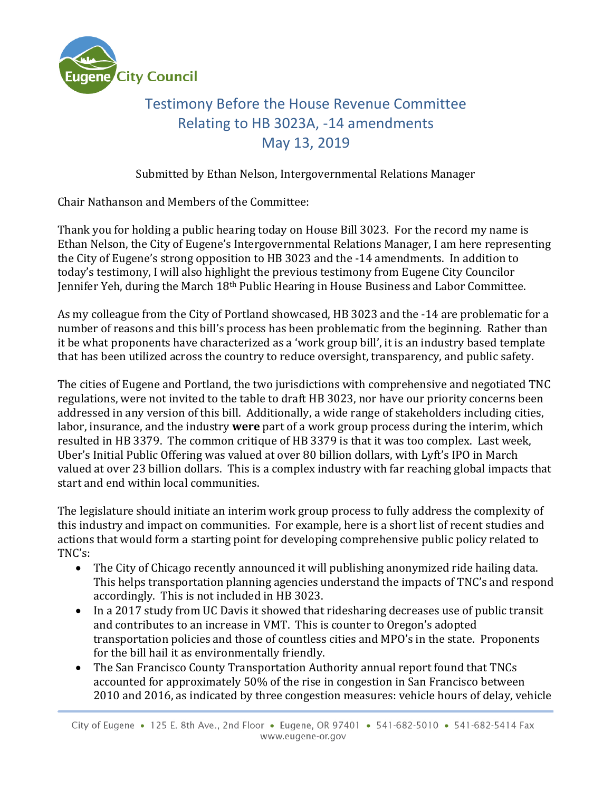

## Testimony Before the House Revenue Committee Relating to HB 3023A, -14 amendments May 13, 2019

Submitted by Ethan Nelson, Intergovernmental Relations Manager

Chair Nathanson and Members of the Committee:

Thank you for holding a public hearing today on House Bill 3023. For the record my name is Ethan Nelson, the City of Eugene's Intergovernmental Relations Manager, I am here representing the City of Eugene's strong opposition to HB 3023 and the -14 amendments. In addition to today's testimony, I will also highlight the previous testimony from Eugene City Councilor Jennifer Yeh, during the March 18th Public Hearing in House Business and Labor Committee.

As my colleague from the City of Portland showcased, HB 3023 and the -14 are problematic for a number of reasons and this bill's process has been problematic from the beginning. Rather than it be what proponents have characterized as a 'work group bill', it is an industry based template that has been utilized across the country to reduce oversight, transparency, and public safety.

The cities of Eugene and Portland, the two jurisdictions with comprehensive and negotiated TNC regulations, were not invited to the table to draft HB 3023, nor have our priority concerns been addressed in any version of this bill. Additionally, a wide range of stakeholders including cities, labor, insurance, and the industry **were** part of a work group process during the interim, which resulted in HB 3379. The common critique of HB 3379 is that it was too complex. Last week, Uber's Initial Public Offering was valued at over 80 billion dollars, with Lyft's IPO in March valued at over 23 billion dollars. This is a complex industry with far reaching global impacts that start and end within local communities.

The legislature should initiate an interim work group process to fully address the complexity of this industry and impact on communities. For example, here is a short list of recent studies and actions that would form a starting point for developing comprehensive public policy related to TNC's:

- The City of Chicago recently announced it will publishing anonymized ride hailing data. This helps transportation planning agencies understand the impacts of TNC's and respond accordingly. This is not included in HB 3023.
- In a 2017 study from UC Davis it showed that ridesharing decreases use of public transit and contributes to an increase in VMT. This is counter to Oregon's adopted transportation policies and those of countless cities and MPO's in the state. Proponents for the bill hail it as environmentally friendly.
- The San Francisco County Transportation Authority annual report found that TNCs accounted for approximately 50% of the rise in congestion in San Francisco between 2010 and 2016, as indicated by three congestion measures: vehicle hours of delay, vehicle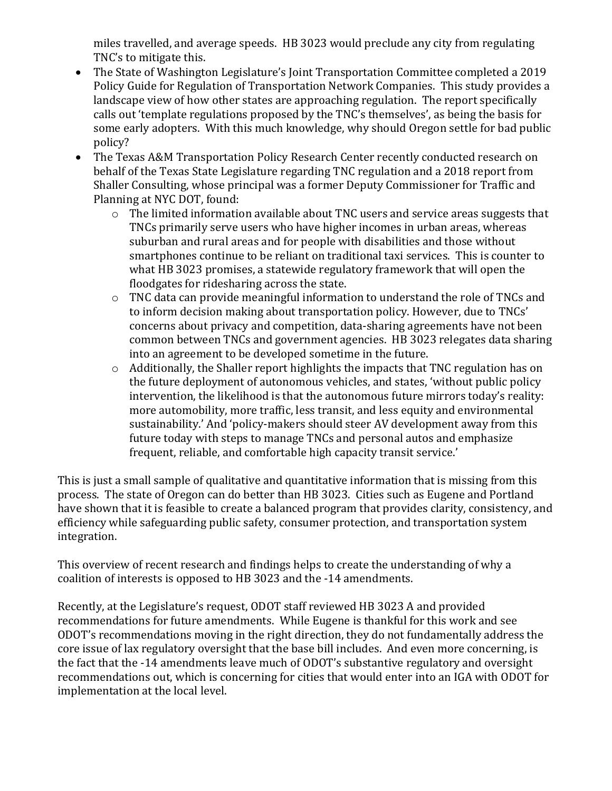miles travelled, and average speeds. HB 3023 would preclude any city from regulating TNC's to mitigate this.

- The State of Washington Legislature's Joint Transportation Committee completed a 2019 Policy Guide for Regulation of Transportation Network Companies. This study provides a landscape view of how other states are approaching regulation. The report specifically calls out 'template regulations proposed by the TNC's themselves', as being the basis for some early adopters. With this much knowledge, why should Oregon settle for bad public policy?
- The Texas A&M Transportation Policy Research Center recently conducted research on behalf of the Texas State Legislature regarding TNC regulation and a 2018 report from Shaller Consulting, whose principal was a former Deputy Commissioner for Traffic and Planning at NYC DOT, found:
	- o The limited information available about TNC users and service areas suggests that TNCs primarily serve users who have higher incomes in urban areas, whereas suburban and rural areas and for people with disabilities and those without smartphones continue to be reliant on traditional taxi services. This is counter to what HB 3023 promises, a statewide regulatory framework that will open the floodgates for ridesharing across the state.
	- o TNC data can provide meaningful information to understand the role of TNCs and to inform decision making about transportation policy. However, due to TNCs' concerns about privacy and competition, data-sharing agreements have not been common between TNCs and government agencies. HB 3023 relegates data sharing into an agreement to be developed sometime in the future.
	- o Additionally, the Shaller report highlights the impacts that TNC regulation has on the future deployment of autonomous vehicles, and states, 'without public policy intervention, the likelihood is that the autonomous future mirrors today's reality: more automobility, more traffic, less transit, and less equity and environmental sustainability.' And 'policy-makers should steer AV development away from this future today with steps to manage TNCs and personal autos and emphasize frequent, reliable, and comfortable high capacity transit service.'

This is just a small sample of qualitative and quantitative information that is missing from this process. The state of Oregon can do better than HB 3023. Cities such as Eugene and Portland have shown that it is feasible to create a balanced program that provides clarity, consistency, and efficiency while safeguarding public safety, consumer protection, and transportation system integration.

This overview of recent research and findings helps to create the understanding of why a coalition of interests is opposed to HB 3023 and the -14 amendments.

Recently, at the Legislature's request, ODOT staff reviewed HB 3023 A and provided recommendations for future amendments. While Eugene is thankful for this work and see ODOT's recommendations moving in the right direction, they do not fundamentally address the core issue of lax regulatory oversight that the base bill includes. And even more concerning, is the fact that the -14 amendments leave much of ODOT's substantive regulatory and oversight recommendations out, which is concerning for cities that would enter into an IGA with ODOT for implementation at the local level.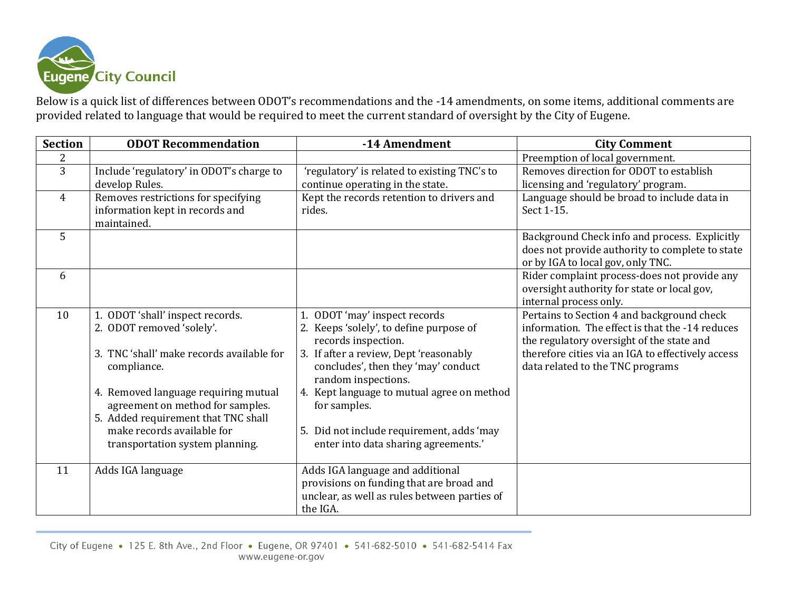

Below is a quick list of differences between ODOT's recommendations and the -14 amendments, on some items, additional comments are provided related to language that would be required to meet the current standard of oversight by the City of Eugene.

| <b>Section</b> | <b>ODOT Recommendation</b>                                                                                                                                                                                                                   | -14 Amendment                                                                                                                                                                                                                                                         | <b>City Comment</b>                                                                                                                                                                                                                 |
|----------------|----------------------------------------------------------------------------------------------------------------------------------------------------------------------------------------------------------------------------------------------|-----------------------------------------------------------------------------------------------------------------------------------------------------------------------------------------------------------------------------------------------------------------------|-------------------------------------------------------------------------------------------------------------------------------------------------------------------------------------------------------------------------------------|
| $\overline{2}$ |                                                                                                                                                                                                                                              |                                                                                                                                                                                                                                                                       | Preemption of local government.                                                                                                                                                                                                     |
| $\overline{3}$ | Include 'regulatory' in ODOT's charge to<br>develop Rules.                                                                                                                                                                                   | 'regulatory' is related to existing TNC's to<br>continue operating in the state.                                                                                                                                                                                      | Removes direction for ODOT to establish<br>licensing and 'regulatory' program.                                                                                                                                                      |
| 4              | Removes restrictions for specifying<br>information kept in records and<br>maintained.                                                                                                                                                        | Kept the records retention to drivers and<br>rides.                                                                                                                                                                                                                   | Language should be broad to include data in<br>Sect 1-15.                                                                                                                                                                           |
| 5              |                                                                                                                                                                                                                                              |                                                                                                                                                                                                                                                                       | Background Check info and process. Explicitly<br>does not provide authority to complete to state<br>or by IGA to local gov, only TNC.                                                                                               |
| 6              |                                                                                                                                                                                                                                              |                                                                                                                                                                                                                                                                       | Rider complaint process-does not provide any<br>oversight authority for state or local gov,<br>internal process only.                                                                                                               |
| 10             | 1. ODOT 'shall' inspect records.<br>2. ODOT removed 'solely'.<br>3. TNC 'shall' make records available for<br>compliance.<br>4. Removed language requiring mutual<br>agreement on method for samples.<br>5. Added requirement that TNC shall | 1. ODOT 'may' inspect records<br>2. Keeps 'solely', to define purpose of<br>records inspection.<br>3. If after a review, Dept 'reasonably<br>concludes', then they 'may' conduct<br>random inspections.<br>4. Kept language to mutual agree on method<br>for samples. | Pertains to Section 4 and background check<br>information. The effect is that the -14 reduces<br>the regulatory oversight of the state and<br>therefore cities via an IGA to effectively access<br>data related to the TNC programs |
|                | make records available for<br>transportation system planning.                                                                                                                                                                                | 5. Did not include requirement, adds 'may<br>enter into data sharing agreements.'                                                                                                                                                                                     |                                                                                                                                                                                                                                     |
| 11             | Adds IGA language                                                                                                                                                                                                                            | Adds IGA language and additional<br>provisions on funding that are broad and<br>unclear, as well as rules between parties of<br>the IGA.                                                                                                                              |                                                                                                                                                                                                                                     |